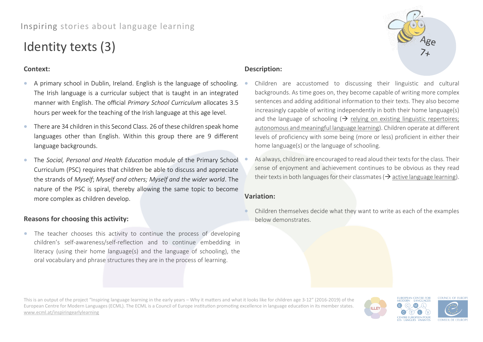# Inspiring stories about language learning

# Identity texts (3)

## **Context:**

- A primary school in Dublin, Ireland. English is the language of schooling. The Irish language is a curricular subject that is taught in an integrated manner with English. The official *Primary School Curriculum* allocates 3.5 hours per week for the teaching of the Irish language at this age level.
- There are 34 children in this Second Class. 26 of these children speak home languages other than English. Within this group there are 9 different language backgrounds.
- The *Social, Personal and Health Education* module of the Primary School Curriculum (PSC) requires that children be able to discuss and appreciate the strands of *Myself*; *Myself and others; Myself and the wider world*. The nature of the PSC is spiral, thereby allowing the same topic to become more complex as children develop.

# **Description:**

- Children are accustomed to discussing their linguistic and cultural backgrounds. As time goes on, they become capable of writing more complex sentences and adding additional information to their texts. They also become increasingly capable of writing independently in both their home language(s) and the language of schooling  $\rightarrow$  relying on existing linguistic repertoires; autonomous and meaningful language learning). Children operate at different levels of proficiency with some being (more or less) proficient in either their home language(s) or the language of schooling.
- As always, children are encouraged to read aloud their texts for the class. Their sense of enjoyment and achievement continues to be obvious as they read their texts in both languages for their classmates ( $\rightarrow$  active language learning).

# **Variation:**

• Children themselves decide what they want to write as each of the examples below demonstrates.

### **Reasons for choosing this activity:**

• The teacher chooses this activity to continue the process of developing children's self-awareness/self-reflection and to continue embedding in literacy (using their home language(s) and the language of schooling), the oral vocabulary and phrase structures they are in the process of learning.

This is an output of the project "Inspiring language learning in the early years – Why it matters and what it looks like for children age 3-12" (2016-2019) of the European Centre for Modern Languages (ECML). The ECML is a Council of Europe institution promoting excellence in language education in its member states. [www.ecml.at/inspiringearlylearning](http://www.ecml.at/inspiringearlylearning)